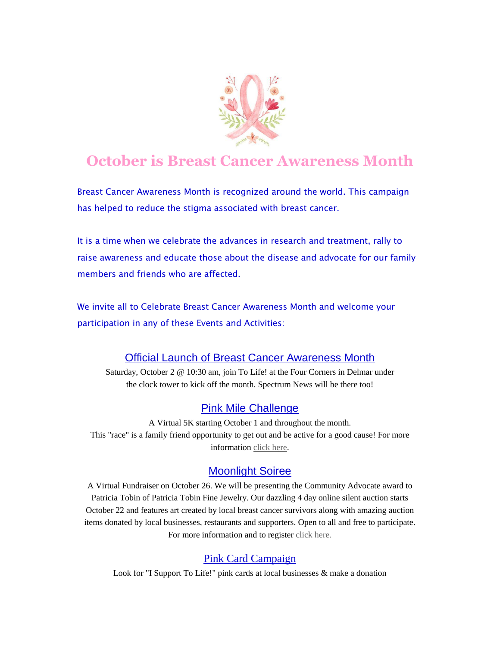

# **October is Breast Cancer Awareness Month**

Breast Cancer Awareness Month is recognized around the world. This campaign has helped to reduce the stigma associated with breast cancer.

It is a time when we celebrate the advances in research and treatment, rally to raise awareness and educate those about the disease and advocate for our family members and friends who are affected.

We invite all to Celebrate Breast Cancer Awareness Month and welcome your participation in any of these Events and Activities:

### Official Launch of Breast Cancer Awareness Month

Saturday, October 2 @ 10:30 am, join To Life! at the Four Corners in Delmar under the clock tower to kick off the month. Spectrum News will be there too!

#### [Pink Mile Challenge](https://tolife.us5.list-manage.com/track/click?u=241d59b897b4121e9d2e15914&id=c0f57e846b&e=14acf428be)

A Virtual 5K starting October 1 and throughout the month. This "race" is a family friend opportunity to get out and be active for a good cause! For more information [click here.](https://tolife.us5.list-manage.com/track/click?u=241d59b897b4121e9d2e15914&id=73535ea189&e=14acf428be)

#### [Moonlight Soiree](https://tolife.us5.list-manage.com/track/click?u=241d59b897b4121e9d2e15914&id=62488af9d9&e=14acf428be)

A Virtual Fundraiser on October 26. We will be presenting the Community Advocate award to Patricia Tobin of Patricia Tobin Fine Jewelry. Our dazzling 4 day online silent auction starts October 22 and features art created by local breast cancer survivors along with amazing auction items donated by local businesses, restaurants and supporters. Open to all and free to participate. For more information and to register [click here.](https://tolife.us5.list-manage.com/track/click?u=241d59b897b4121e9d2e15914&id=039a35cf0a&e=14acf428be)

#### Pink Card Campaign

Look for "I Support To Life!" pink cards at local businesses & make a donation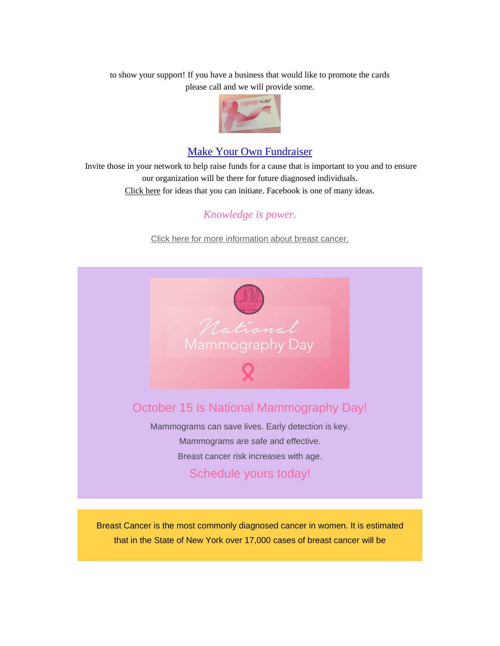to show your support! If you have a business that would like to promote the cards please call and we will provide some.



## Make Your Own Fundraiser

Invite those in your network to help raise funds for a cause that is important to you and to ensure our organization will be there for future diagnosed individuals. [Click here](https://tolife.us5.list-manage.com/track/click?u=241d59b897b4121e9d2e15914&id=9ec4368f28&e=14acf428be) for ideas that you can initiate. Facebook is one of many ideas.

## *Knowledge is power.*

[Click here for more information about breast cancer.](https://tolife.us5.list-manage.com/track/click?u=241d59b897b4121e9d2e15914&id=b3d34e75c0&e=14acf428be)



Breast Cancer is the most commonly diagnosed cancer in women. It is estimated that in the State of New York over 17,000 cases of breast cancer will be